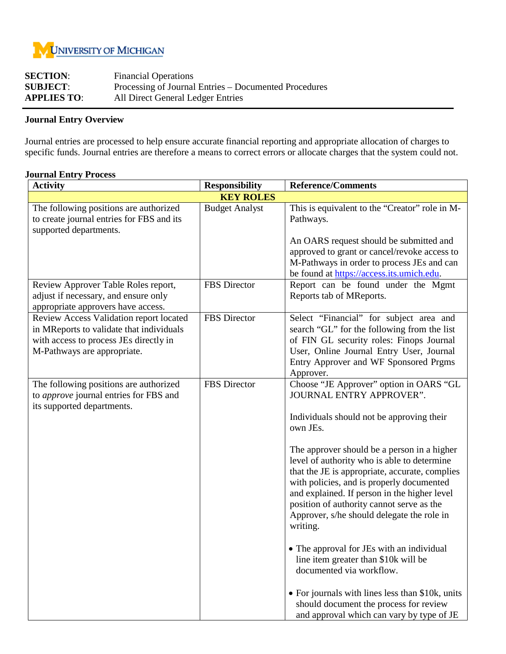

| <b>SECTION:</b>    | <b>Financial Operations</b>                           |
|--------------------|-------------------------------------------------------|
| <b>SUBJECT:</b>    | Processing of Journal Entries – Documented Procedures |
| <b>APPLIES TO:</b> | All Direct General Ledger Entries                     |

## **Journal Entry Overview**

Journal entries are processed to help ensure accurate financial reporting and appropriate allocation of charges to specific funds. Journal entries are therefore a means to correct errors or allocate charges that the system could not.

## **Journal Entry Process**

| <b>Activity</b>                                                                                                                                              | <b>Responsibility</b> | <b>Reference/Comments</b>                                                                                                                                                                                                                                                                                                                                                                                                                                                                                                                                                                                                                                                                                                                    |  |
|--------------------------------------------------------------------------------------------------------------------------------------------------------------|-----------------------|----------------------------------------------------------------------------------------------------------------------------------------------------------------------------------------------------------------------------------------------------------------------------------------------------------------------------------------------------------------------------------------------------------------------------------------------------------------------------------------------------------------------------------------------------------------------------------------------------------------------------------------------------------------------------------------------------------------------------------------------|--|
| <b>KEY ROLES</b>                                                                                                                                             |                       |                                                                                                                                                                                                                                                                                                                                                                                                                                                                                                                                                                                                                                                                                                                                              |  |
| The following positions are authorized<br>to create journal entries for FBS and its<br>supported departments.                                                | <b>Budget Analyst</b> | This is equivalent to the "Creator" role in M-<br>Pathways.<br>An OARS request should be submitted and<br>approved to grant or cancel/revoke access to<br>M-Pathways in order to process JEs and can<br>be found at https://access.its.umich.edu.                                                                                                                                                                                                                                                                                                                                                                                                                                                                                            |  |
| Review Approver Table Roles report,<br>adjust if necessary, and ensure only<br>appropriate approvers have access.                                            | <b>FBS</b> Director   | Report can be found under the Mgmt<br>Reports tab of MReports.                                                                                                                                                                                                                                                                                                                                                                                                                                                                                                                                                                                                                                                                               |  |
| Review Access Validation report located<br>in MReports to validate that individuals<br>with access to process JEs directly in<br>M-Pathways are appropriate. | FBS Director          | Select "Financial" for subject area and<br>search "GL" for the following from the list<br>of FIN GL security roles: Finops Journal<br>User, Online Journal Entry User, Journal<br>Entry Approver and WF Sponsored Prgms<br>Approver.                                                                                                                                                                                                                                                                                                                                                                                                                                                                                                         |  |
| The following positions are authorized<br>to approve journal entries for FBS and<br>its supported departments.                                               | FBS Director          | Choose "JE Approver" option in OARS "GL<br>JOURNAL ENTRY APPROVER".<br>Individuals should not be approving their<br>own JEs.<br>The approver should be a person in a higher<br>level of authority who is able to determine<br>that the JE is appropriate, accurate, complies<br>with policies, and is properly documented<br>and explained. If person in the higher level<br>position of authority cannot serve as the<br>Approver, s/he should delegate the role in<br>writing.<br>• The approval for JEs with an individual<br>line item greater than \$10k will be<br>documented via workflow.<br>• For journals with lines less than \$10k, units<br>should document the process for review<br>and approval which can vary by type of JE |  |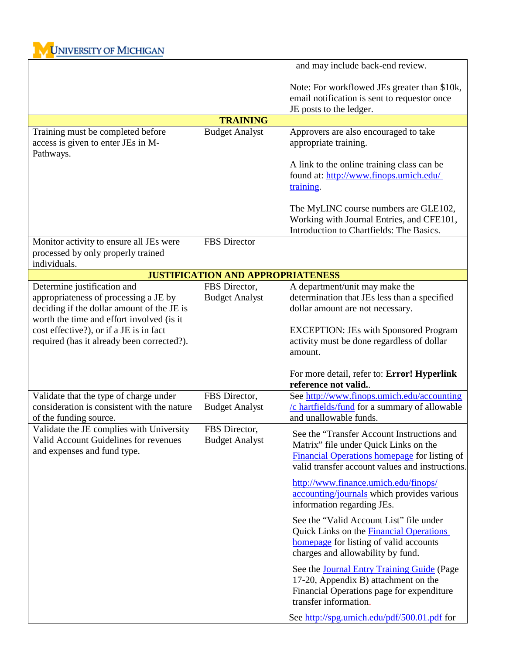

|                                                                                                                                                                                                            |                                          | and may include back-end review.                                                                                                                                                       |
|------------------------------------------------------------------------------------------------------------------------------------------------------------------------------------------------------------|------------------------------------------|----------------------------------------------------------------------------------------------------------------------------------------------------------------------------------------|
|                                                                                                                                                                                                            |                                          | Note: For workflowed JEs greater than \$10k,<br>email notification is sent to requestor once<br>JE posts to the ledger.                                                                |
|                                                                                                                                                                                                            | <b>TRAINING</b>                          |                                                                                                                                                                                        |
| Training must be completed before<br>access is given to enter JEs in M-<br>Pathways.                                                                                                                       | <b>Budget Analyst</b>                    | Approvers are also encouraged to take<br>appropriate training.                                                                                                                         |
|                                                                                                                                                                                                            |                                          | A link to the online training class can be<br>found at: http://www.finops.umich.edu/<br>training.                                                                                      |
|                                                                                                                                                                                                            |                                          | The MyLINC course numbers are GLE102,<br>Working with Journal Entries, and CFE101,<br>Introduction to Chartfields: The Basics.                                                         |
| Monitor activity to ensure all JEs were<br>processed by only properly trained<br>individuals.                                                                                                              | <b>FBS</b> Director                      |                                                                                                                                                                                        |
|                                                                                                                                                                                                            | <b>JUSTIFICATION AND APPROPRIATENESS</b> |                                                                                                                                                                                        |
| Determine justification and<br>appropriateness of processing a JE by<br>deciding if the dollar amount of the JE is<br>worth the time and effort involved (is it<br>cost effective?), or if a JE is in fact | FBS Director,<br><b>Budget Analyst</b>   | A department/unit may make the<br>determination that JEs less than a specified<br>dollar amount are not necessary.                                                                     |
| required (has it already been corrected?).                                                                                                                                                                 |                                          | <b>EXCEPTION: JEs with Sponsored Program</b><br>activity must be done regardless of dollar<br>amount.<br>For more detail, refer to: Error! Hyperlink                                   |
|                                                                                                                                                                                                            |                                          | reference not valid                                                                                                                                                                    |
| Validate that the type of charge under<br>consideration is consistent with the nature<br>of the funding source.                                                                                            | FBS Director,<br><b>Budget Analyst</b>   | See http://www.finops.umich.edu/accounting<br>/c hartfields/fund for a summary of allowable<br>and unallowable funds.                                                                  |
| Validate the JE complies with University<br>Valid Account Guidelines for revenues<br>and expenses and fund type.                                                                                           | FBS Director.<br><b>Budget Analyst</b>   | See the "Transfer Account Instructions and<br>Matrix" file under Quick Links on the<br>Financial Operations homepage for listing of<br>valid transfer account values and instructions. |
|                                                                                                                                                                                                            |                                          | http://www.finance.umich.edu/finops/<br>accounting/journals which provides various<br>information regarding JEs.                                                                       |
|                                                                                                                                                                                                            |                                          | See the "Valid Account List" file under<br>Quick Links on the <b>Financial Operations</b><br>homepage for listing of valid accounts<br>charges and allowability by fund.               |
|                                                                                                                                                                                                            |                                          | See the <b>Journal Entry Training Guide</b> (Page<br>17-20, Appendix B) attachment on the<br>Financial Operations page for expenditure<br>transfer information.                        |
|                                                                                                                                                                                                            |                                          | See http://spg.umich.edu/pdf/500.01.pdf for                                                                                                                                            |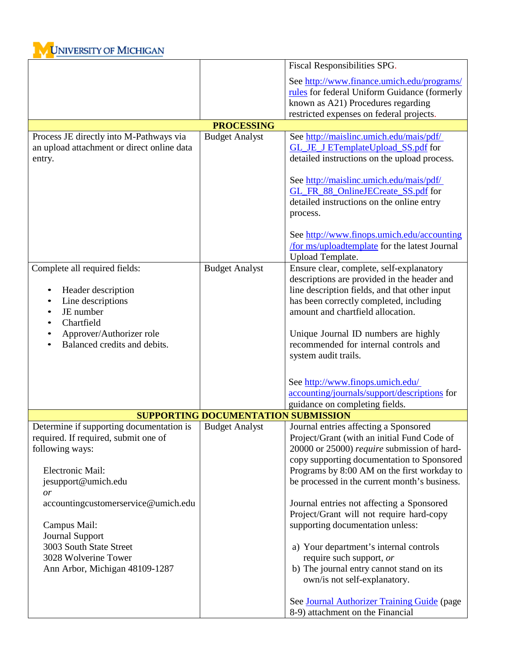

|                                            |                                            | Fiscal Responsibilities SPG.                                             |
|--------------------------------------------|--------------------------------------------|--------------------------------------------------------------------------|
|                                            |                                            | See http://www.finance.umich.edu/programs/                               |
|                                            |                                            | rules for federal Uniform Guidance (formerly                             |
|                                            |                                            | known as A21) Procedures regarding                                       |
|                                            |                                            | restricted expenses on federal projects.                                 |
|                                            | <b>PROCESSING</b>                          |                                                                          |
| Process JE directly into M-Pathways via    | <b>Budget Analyst</b>                      | See http://maislinc.umich.edu/mais/pdf/                                  |
| an upload attachment or direct online data |                                            | GL_JE_J ETemplateUpload_SS.pdf for                                       |
| entry.                                     |                                            | detailed instructions on the upload process.                             |
|                                            |                                            |                                                                          |
|                                            |                                            | See http://maislinc.umich.edu/mais/pdf/                                  |
|                                            |                                            | GL_FR_88_OnlineJECreate_SS.pdf for                                       |
|                                            |                                            | detailed instructions on the online entry                                |
|                                            |                                            | process.                                                                 |
|                                            |                                            | See http://www.finops.umich.edu/accounting                               |
|                                            |                                            | /for ms/uploadtemplate for the latest Journal                            |
|                                            |                                            | Upload Template.                                                         |
| Complete all required fields:              | <b>Budget Analyst</b>                      | Ensure clear, complete, self-explanatory                                 |
|                                            |                                            | descriptions are provided in the header and                              |
| Header description                         |                                            | line description fields, and that other input                            |
| Line descriptions                          |                                            | has been correctly completed, including                                  |
| JE number<br>$\bullet$                     |                                            | amount and chartfield allocation.                                        |
| Chartfield                                 |                                            |                                                                          |
| Approver/Authorizer role                   |                                            | Unique Journal ID numbers are highly                                     |
| Balanced credits and debits.               |                                            | recommended for internal controls and                                    |
|                                            |                                            | system audit trails.                                                     |
|                                            |                                            |                                                                          |
|                                            |                                            | See http://www.finops.umich.edu/                                         |
|                                            |                                            | accounting/journals/support/descriptions for                             |
|                                            |                                            | guidance on completing fields.                                           |
|                                            | <b>SUPPORTING DOCUMENTATION SUBMISSION</b> |                                                                          |
| Determine if supporting documentation is   | <b>Budget Analyst</b>                      | Journal entries affecting a Sponsored                                    |
| required. If required, submit one of       |                                            | Project/Grant (with an initial Fund Code of                              |
| following ways:                            |                                            | 20000 or 25000) require submission of hard-                              |
|                                            |                                            | copy supporting documentation to Sponsored                               |
| <b>Electronic Mail:</b>                    |                                            | Programs by 8:00 AM on the first workday to                              |
| jesupport@umich.edu                        |                                            | be processed in the current month's business.                            |
| <sub>or</sub>                              |                                            |                                                                          |
| accountingcustomerservice@umich.edu        |                                            | Journal entries not affecting a Sponsored                                |
|                                            |                                            | Project/Grant will not require hard-copy                                 |
| Campus Mail:                               |                                            | supporting documentation unless:                                         |
| <b>Journal Support</b>                     |                                            |                                                                          |
| 3003 South State Street                    |                                            | a) Your department's internal controls                                   |
| 3028 Wolverine Tower                       |                                            | require such support, or                                                 |
| Ann Arbor, Michigan 48109-1287             |                                            | b) The journal entry cannot stand on its<br>own/is not self-explanatory. |
|                                            |                                            |                                                                          |
|                                            |                                            | See Journal Authorizer Training Guide (page                              |
|                                            |                                            | 8-9) attachment on the Financial                                         |
|                                            |                                            |                                                                          |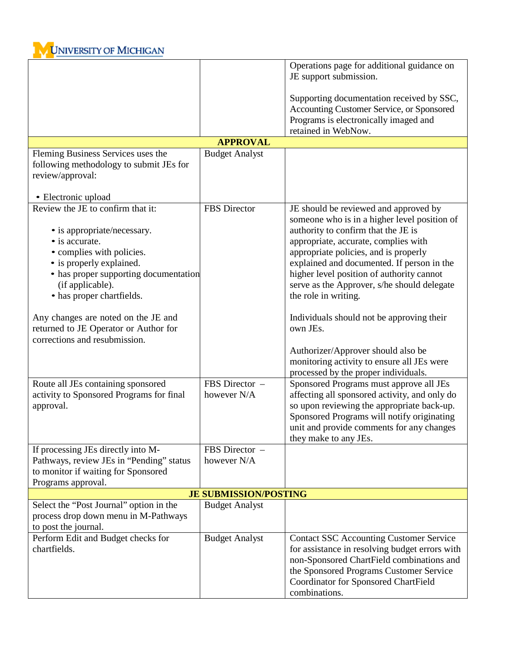

| JE support submission.<br>Supporting documentation received by SSC,<br>Accounting Customer Service, or Sponsored<br>Programs is electronically imaged and<br>retained in WebNow.<br><b>APPROVAL</b><br>Fleming Business Services uses the<br><b>Budget Analyst</b><br>following methodology to submit JEs for<br>review/approval:<br>· Electronic upload<br>Review the JE to confirm that it:<br><b>FBS</b> Director<br>JE should be reviewed and approved by<br>someone who is in a higher level position of<br>authority to confirm that the JE is<br>• is appropriate/necessary.<br>• is accurate.<br>appropriate, accurate, complies with<br>appropriate policies, and is properly<br>• complies with policies.<br>• is properly explained.<br>explained and documented. If person in the<br>• has proper supporting documentation<br>higher level position of authority cannot<br>serve as the Approver, s/he should delegate<br>(if applicable).<br>• has proper chartfields.<br>the role in writing.<br>Any changes are noted on the JE and<br>Individuals should not be approving their<br>own JEs.<br>returned to JE Operator or Author for<br>corrections and resubmission.<br>Authorizer/Approver should also be<br>monitoring activity to ensure all JEs were<br>processed by the proper individuals.<br>FBS Director -<br>Route all JEs containing sponsored<br>Sponsored Programs must approve all JEs<br>activity to Sponsored Programs for final<br>however N/A<br>affecting all sponsored activity, and only do<br>so upon reviewing the appropriate back-up.<br>approval.<br>Sponsored Programs will notify originating<br>unit and provide comments for any changes<br>they make to any JEs.<br>If processing JEs directly into M-<br>FBS Director -<br>Pathways, review JEs in "Pending" status<br>however N/A<br>to monitor if waiting for Sponsored<br>Programs approval.<br><b>JE SUBMISSION/POSTING</b><br>Select the "Post Journal" option in the<br><b>Budget Analyst</b><br>process drop down menu in M-Pathways<br>to post the journal.<br>Perform Edit and Budget checks for<br><b>Contact SSC Accounting Customer Service</b><br><b>Budget Analyst</b><br>chartfields.<br>for assistance in resolving budget errors with<br>non-Sponsored ChartField combinations and |  |  | Operations page for additional guidance on |  |
|-----------------------------------------------------------------------------------------------------------------------------------------------------------------------------------------------------------------------------------------------------------------------------------------------------------------------------------------------------------------------------------------------------------------------------------------------------------------------------------------------------------------------------------------------------------------------------------------------------------------------------------------------------------------------------------------------------------------------------------------------------------------------------------------------------------------------------------------------------------------------------------------------------------------------------------------------------------------------------------------------------------------------------------------------------------------------------------------------------------------------------------------------------------------------------------------------------------------------------------------------------------------------------------------------------------------------------------------------------------------------------------------------------------------------------------------------------------------------------------------------------------------------------------------------------------------------------------------------------------------------------------------------------------------------------------------------------------------------------------------------------------------------------------------------------------------------------------------------------------------------------------------------------------------------------------------------------------------------------------------------------------------------------------------------------------------------------------------------------------------------------------------------------------------------------------------------------------------------------------------------------------------------------------------------------|--|--|--------------------------------------------|--|
|                                                                                                                                                                                                                                                                                                                                                                                                                                                                                                                                                                                                                                                                                                                                                                                                                                                                                                                                                                                                                                                                                                                                                                                                                                                                                                                                                                                                                                                                                                                                                                                                                                                                                                                                                                                                                                                                                                                                                                                                                                                                                                                                                                                                                                                                                                     |  |  |                                            |  |
|                                                                                                                                                                                                                                                                                                                                                                                                                                                                                                                                                                                                                                                                                                                                                                                                                                                                                                                                                                                                                                                                                                                                                                                                                                                                                                                                                                                                                                                                                                                                                                                                                                                                                                                                                                                                                                                                                                                                                                                                                                                                                                                                                                                                                                                                                                     |  |  |                                            |  |
|                                                                                                                                                                                                                                                                                                                                                                                                                                                                                                                                                                                                                                                                                                                                                                                                                                                                                                                                                                                                                                                                                                                                                                                                                                                                                                                                                                                                                                                                                                                                                                                                                                                                                                                                                                                                                                                                                                                                                                                                                                                                                                                                                                                                                                                                                                     |  |  |                                            |  |
|                                                                                                                                                                                                                                                                                                                                                                                                                                                                                                                                                                                                                                                                                                                                                                                                                                                                                                                                                                                                                                                                                                                                                                                                                                                                                                                                                                                                                                                                                                                                                                                                                                                                                                                                                                                                                                                                                                                                                                                                                                                                                                                                                                                                                                                                                                     |  |  |                                            |  |
|                                                                                                                                                                                                                                                                                                                                                                                                                                                                                                                                                                                                                                                                                                                                                                                                                                                                                                                                                                                                                                                                                                                                                                                                                                                                                                                                                                                                                                                                                                                                                                                                                                                                                                                                                                                                                                                                                                                                                                                                                                                                                                                                                                                                                                                                                                     |  |  |                                            |  |
|                                                                                                                                                                                                                                                                                                                                                                                                                                                                                                                                                                                                                                                                                                                                                                                                                                                                                                                                                                                                                                                                                                                                                                                                                                                                                                                                                                                                                                                                                                                                                                                                                                                                                                                                                                                                                                                                                                                                                                                                                                                                                                                                                                                                                                                                                                     |  |  |                                            |  |
|                                                                                                                                                                                                                                                                                                                                                                                                                                                                                                                                                                                                                                                                                                                                                                                                                                                                                                                                                                                                                                                                                                                                                                                                                                                                                                                                                                                                                                                                                                                                                                                                                                                                                                                                                                                                                                                                                                                                                                                                                                                                                                                                                                                                                                                                                                     |  |  |                                            |  |
|                                                                                                                                                                                                                                                                                                                                                                                                                                                                                                                                                                                                                                                                                                                                                                                                                                                                                                                                                                                                                                                                                                                                                                                                                                                                                                                                                                                                                                                                                                                                                                                                                                                                                                                                                                                                                                                                                                                                                                                                                                                                                                                                                                                                                                                                                                     |  |  |                                            |  |
|                                                                                                                                                                                                                                                                                                                                                                                                                                                                                                                                                                                                                                                                                                                                                                                                                                                                                                                                                                                                                                                                                                                                                                                                                                                                                                                                                                                                                                                                                                                                                                                                                                                                                                                                                                                                                                                                                                                                                                                                                                                                                                                                                                                                                                                                                                     |  |  |                                            |  |
|                                                                                                                                                                                                                                                                                                                                                                                                                                                                                                                                                                                                                                                                                                                                                                                                                                                                                                                                                                                                                                                                                                                                                                                                                                                                                                                                                                                                                                                                                                                                                                                                                                                                                                                                                                                                                                                                                                                                                                                                                                                                                                                                                                                                                                                                                                     |  |  |                                            |  |
|                                                                                                                                                                                                                                                                                                                                                                                                                                                                                                                                                                                                                                                                                                                                                                                                                                                                                                                                                                                                                                                                                                                                                                                                                                                                                                                                                                                                                                                                                                                                                                                                                                                                                                                                                                                                                                                                                                                                                                                                                                                                                                                                                                                                                                                                                                     |  |  |                                            |  |
|                                                                                                                                                                                                                                                                                                                                                                                                                                                                                                                                                                                                                                                                                                                                                                                                                                                                                                                                                                                                                                                                                                                                                                                                                                                                                                                                                                                                                                                                                                                                                                                                                                                                                                                                                                                                                                                                                                                                                                                                                                                                                                                                                                                                                                                                                                     |  |  |                                            |  |
|                                                                                                                                                                                                                                                                                                                                                                                                                                                                                                                                                                                                                                                                                                                                                                                                                                                                                                                                                                                                                                                                                                                                                                                                                                                                                                                                                                                                                                                                                                                                                                                                                                                                                                                                                                                                                                                                                                                                                                                                                                                                                                                                                                                                                                                                                                     |  |  |                                            |  |
|                                                                                                                                                                                                                                                                                                                                                                                                                                                                                                                                                                                                                                                                                                                                                                                                                                                                                                                                                                                                                                                                                                                                                                                                                                                                                                                                                                                                                                                                                                                                                                                                                                                                                                                                                                                                                                                                                                                                                                                                                                                                                                                                                                                                                                                                                                     |  |  |                                            |  |
|                                                                                                                                                                                                                                                                                                                                                                                                                                                                                                                                                                                                                                                                                                                                                                                                                                                                                                                                                                                                                                                                                                                                                                                                                                                                                                                                                                                                                                                                                                                                                                                                                                                                                                                                                                                                                                                                                                                                                                                                                                                                                                                                                                                                                                                                                                     |  |  |                                            |  |
|                                                                                                                                                                                                                                                                                                                                                                                                                                                                                                                                                                                                                                                                                                                                                                                                                                                                                                                                                                                                                                                                                                                                                                                                                                                                                                                                                                                                                                                                                                                                                                                                                                                                                                                                                                                                                                                                                                                                                                                                                                                                                                                                                                                                                                                                                                     |  |  |                                            |  |
|                                                                                                                                                                                                                                                                                                                                                                                                                                                                                                                                                                                                                                                                                                                                                                                                                                                                                                                                                                                                                                                                                                                                                                                                                                                                                                                                                                                                                                                                                                                                                                                                                                                                                                                                                                                                                                                                                                                                                                                                                                                                                                                                                                                                                                                                                                     |  |  |                                            |  |
|                                                                                                                                                                                                                                                                                                                                                                                                                                                                                                                                                                                                                                                                                                                                                                                                                                                                                                                                                                                                                                                                                                                                                                                                                                                                                                                                                                                                                                                                                                                                                                                                                                                                                                                                                                                                                                                                                                                                                                                                                                                                                                                                                                                                                                                                                                     |  |  |                                            |  |
|                                                                                                                                                                                                                                                                                                                                                                                                                                                                                                                                                                                                                                                                                                                                                                                                                                                                                                                                                                                                                                                                                                                                                                                                                                                                                                                                                                                                                                                                                                                                                                                                                                                                                                                                                                                                                                                                                                                                                                                                                                                                                                                                                                                                                                                                                                     |  |  |                                            |  |
|                                                                                                                                                                                                                                                                                                                                                                                                                                                                                                                                                                                                                                                                                                                                                                                                                                                                                                                                                                                                                                                                                                                                                                                                                                                                                                                                                                                                                                                                                                                                                                                                                                                                                                                                                                                                                                                                                                                                                                                                                                                                                                                                                                                                                                                                                                     |  |  |                                            |  |
|                                                                                                                                                                                                                                                                                                                                                                                                                                                                                                                                                                                                                                                                                                                                                                                                                                                                                                                                                                                                                                                                                                                                                                                                                                                                                                                                                                                                                                                                                                                                                                                                                                                                                                                                                                                                                                                                                                                                                                                                                                                                                                                                                                                                                                                                                                     |  |  |                                            |  |
|                                                                                                                                                                                                                                                                                                                                                                                                                                                                                                                                                                                                                                                                                                                                                                                                                                                                                                                                                                                                                                                                                                                                                                                                                                                                                                                                                                                                                                                                                                                                                                                                                                                                                                                                                                                                                                                                                                                                                                                                                                                                                                                                                                                                                                                                                                     |  |  |                                            |  |
|                                                                                                                                                                                                                                                                                                                                                                                                                                                                                                                                                                                                                                                                                                                                                                                                                                                                                                                                                                                                                                                                                                                                                                                                                                                                                                                                                                                                                                                                                                                                                                                                                                                                                                                                                                                                                                                                                                                                                                                                                                                                                                                                                                                                                                                                                                     |  |  |                                            |  |
|                                                                                                                                                                                                                                                                                                                                                                                                                                                                                                                                                                                                                                                                                                                                                                                                                                                                                                                                                                                                                                                                                                                                                                                                                                                                                                                                                                                                                                                                                                                                                                                                                                                                                                                                                                                                                                                                                                                                                                                                                                                                                                                                                                                                                                                                                                     |  |  |                                            |  |
|                                                                                                                                                                                                                                                                                                                                                                                                                                                                                                                                                                                                                                                                                                                                                                                                                                                                                                                                                                                                                                                                                                                                                                                                                                                                                                                                                                                                                                                                                                                                                                                                                                                                                                                                                                                                                                                                                                                                                                                                                                                                                                                                                                                                                                                                                                     |  |  |                                            |  |
|                                                                                                                                                                                                                                                                                                                                                                                                                                                                                                                                                                                                                                                                                                                                                                                                                                                                                                                                                                                                                                                                                                                                                                                                                                                                                                                                                                                                                                                                                                                                                                                                                                                                                                                                                                                                                                                                                                                                                                                                                                                                                                                                                                                                                                                                                                     |  |  |                                            |  |
|                                                                                                                                                                                                                                                                                                                                                                                                                                                                                                                                                                                                                                                                                                                                                                                                                                                                                                                                                                                                                                                                                                                                                                                                                                                                                                                                                                                                                                                                                                                                                                                                                                                                                                                                                                                                                                                                                                                                                                                                                                                                                                                                                                                                                                                                                                     |  |  |                                            |  |
|                                                                                                                                                                                                                                                                                                                                                                                                                                                                                                                                                                                                                                                                                                                                                                                                                                                                                                                                                                                                                                                                                                                                                                                                                                                                                                                                                                                                                                                                                                                                                                                                                                                                                                                                                                                                                                                                                                                                                                                                                                                                                                                                                                                                                                                                                                     |  |  |                                            |  |
|                                                                                                                                                                                                                                                                                                                                                                                                                                                                                                                                                                                                                                                                                                                                                                                                                                                                                                                                                                                                                                                                                                                                                                                                                                                                                                                                                                                                                                                                                                                                                                                                                                                                                                                                                                                                                                                                                                                                                                                                                                                                                                                                                                                                                                                                                                     |  |  |                                            |  |
|                                                                                                                                                                                                                                                                                                                                                                                                                                                                                                                                                                                                                                                                                                                                                                                                                                                                                                                                                                                                                                                                                                                                                                                                                                                                                                                                                                                                                                                                                                                                                                                                                                                                                                                                                                                                                                                                                                                                                                                                                                                                                                                                                                                                                                                                                                     |  |  |                                            |  |
|                                                                                                                                                                                                                                                                                                                                                                                                                                                                                                                                                                                                                                                                                                                                                                                                                                                                                                                                                                                                                                                                                                                                                                                                                                                                                                                                                                                                                                                                                                                                                                                                                                                                                                                                                                                                                                                                                                                                                                                                                                                                                                                                                                                                                                                                                                     |  |  |                                            |  |
|                                                                                                                                                                                                                                                                                                                                                                                                                                                                                                                                                                                                                                                                                                                                                                                                                                                                                                                                                                                                                                                                                                                                                                                                                                                                                                                                                                                                                                                                                                                                                                                                                                                                                                                                                                                                                                                                                                                                                                                                                                                                                                                                                                                                                                                                                                     |  |  |                                            |  |
|                                                                                                                                                                                                                                                                                                                                                                                                                                                                                                                                                                                                                                                                                                                                                                                                                                                                                                                                                                                                                                                                                                                                                                                                                                                                                                                                                                                                                                                                                                                                                                                                                                                                                                                                                                                                                                                                                                                                                                                                                                                                                                                                                                                                                                                                                                     |  |  |                                            |  |
|                                                                                                                                                                                                                                                                                                                                                                                                                                                                                                                                                                                                                                                                                                                                                                                                                                                                                                                                                                                                                                                                                                                                                                                                                                                                                                                                                                                                                                                                                                                                                                                                                                                                                                                                                                                                                                                                                                                                                                                                                                                                                                                                                                                                                                                                                                     |  |  |                                            |  |
|                                                                                                                                                                                                                                                                                                                                                                                                                                                                                                                                                                                                                                                                                                                                                                                                                                                                                                                                                                                                                                                                                                                                                                                                                                                                                                                                                                                                                                                                                                                                                                                                                                                                                                                                                                                                                                                                                                                                                                                                                                                                                                                                                                                                                                                                                                     |  |  |                                            |  |
|                                                                                                                                                                                                                                                                                                                                                                                                                                                                                                                                                                                                                                                                                                                                                                                                                                                                                                                                                                                                                                                                                                                                                                                                                                                                                                                                                                                                                                                                                                                                                                                                                                                                                                                                                                                                                                                                                                                                                                                                                                                                                                                                                                                                                                                                                                     |  |  |                                            |  |
|                                                                                                                                                                                                                                                                                                                                                                                                                                                                                                                                                                                                                                                                                                                                                                                                                                                                                                                                                                                                                                                                                                                                                                                                                                                                                                                                                                                                                                                                                                                                                                                                                                                                                                                                                                                                                                                                                                                                                                                                                                                                                                                                                                                                                                                                                                     |  |  |                                            |  |
|                                                                                                                                                                                                                                                                                                                                                                                                                                                                                                                                                                                                                                                                                                                                                                                                                                                                                                                                                                                                                                                                                                                                                                                                                                                                                                                                                                                                                                                                                                                                                                                                                                                                                                                                                                                                                                                                                                                                                                                                                                                                                                                                                                                                                                                                                                     |  |  |                                            |  |
|                                                                                                                                                                                                                                                                                                                                                                                                                                                                                                                                                                                                                                                                                                                                                                                                                                                                                                                                                                                                                                                                                                                                                                                                                                                                                                                                                                                                                                                                                                                                                                                                                                                                                                                                                                                                                                                                                                                                                                                                                                                                                                                                                                                                                                                                                                     |  |  |                                            |  |
|                                                                                                                                                                                                                                                                                                                                                                                                                                                                                                                                                                                                                                                                                                                                                                                                                                                                                                                                                                                                                                                                                                                                                                                                                                                                                                                                                                                                                                                                                                                                                                                                                                                                                                                                                                                                                                                                                                                                                                                                                                                                                                                                                                                                                                                                                                     |  |  |                                            |  |
|                                                                                                                                                                                                                                                                                                                                                                                                                                                                                                                                                                                                                                                                                                                                                                                                                                                                                                                                                                                                                                                                                                                                                                                                                                                                                                                                                                                                                                                                                                                                                                                                                                                                                                                                                                                                                                                                                                                                                                                                                                                                                                                                                                                                                                                                                                     |  |  |                                            |  |
|                                                                                                                                                                                                                                                                                                                                                                                                                                                                                                                                                                                                                                                                                                                                                                                                                                                                                                                                                                                                                                                                                                                                                                                                                                                                                                                                                                                                                                                                                                                                                                                                                                                                                                                                                                                                                                                                                                                                                                                                                                                                                                                                                                                                                                                                                                     |  |  |                                            |  |
|                                                                                                                                                                                                                                                                                                                                                                                                                                                                                                                                                                                                                                                                                                                                                                                                                                                                                                                                                                                                                                                                                                                                                                                                                                                                                                                                                                                                                                                                                                                                                                                                                                                                                                                                                                                                                                                                                                                                                                                                                                                                                                                                                                                                                                                                                                     |  |  |                                            |  |
|                                                                                                                                                                                                                                                                                                                                                                                                                                                                                                                                                                                                                                                                                                                                                                                                                                                                                                                                                                                                                                                                                                                                                                                                                                                                                                                                                                                                                                                                                                                                                                                                                                                                                                                                                                                                                                                                                                                                                                                                                                                                                                                                                                                                                                                                                                     |  |  |                                            |  |
|                                                                                                                                                                                                                                                                                                                                                                                                                                                                                                                                                                                                                                                                                                                                                                                                                                                                                                                                                                                                                                                                                                                                                                                                                                                                                                                                                                                                                                                                                                                                                                                                                                                                                                                                                                                                                                                                                                                                                                                                                                                                                                                                                                                                                                                                                                     |  |  |                                            |  |
|                                                                                                                                                                                                                                                                                                                                                                                                                                                                                                                                                                                                                                                                                                                                                                                                                                                                                                                                                                                                                                                                                                                                                                                                                                                                                                                                                                                                                                                                                                                                                                                                                                                                                                                                                                                                                                                                                                                                                                                                                                                                                                                                                                                                                                                                                                     |  |  |                                            |  |
|                                                                                                                                                                                                                                                                                                                                                                                                                                                                                                                                                                                                                                                                                                                                                                                                                                                                                                                                                                                                                                                                                                                                                                                                                                                                                                                                                                                                                                                                                                                                                                                                                                                                                                                                                                                                                                                                                                                                                                                                                                                                                                                                                                                                                                                                                                     |  |  | the Sponsored Programs Customer Service    |  |
| Coordinator for Sponsored ChartField                                                                                                                                                                                                                                                                                                                                                                                                                                                                                                                                                                                                                                                                                                                                                                                                                                                                                                                                                                                                                                                                                                                                                                                                                                                                                                                                                                                                                                                                                                                                                                                                                                                                                                                                                                                                                                                                                                                                                                                                                                                                                                                                                                                                                                                                |  |  |                                            |  |
| combinations.                                                                                                                                                                                                                                                                                                                                                                                                                                                                                                                                                                                                                                                                                                                                                                                                                                                                                                                                                                                                                                                                                                                                                                                                                                                                                                                                                                                                                                                                                                                                                                                                                                                                                                                                                                                                                                                                                                                                                                                                                                                                                                                                                                                                                                                                                       |  |  |                                            |  |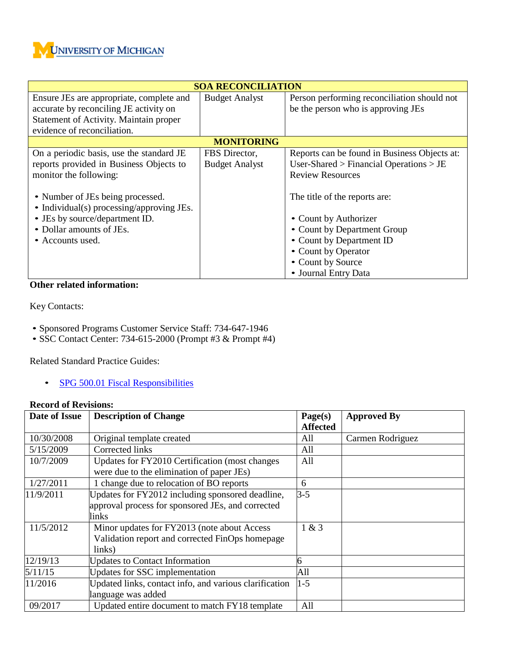

| <b>SOA RECONCILIATION</b>                                                     |                       |                                              |  |
|-------------------------------------------------------------------------------|-----------------------|----------------------------------------------|--|
| Ensure JEs are appropriate, complete and                                      | <b>Budget Analyst</b> | Person performing reconciliation should not  |  |
| accurate by reconciling JE activity on                                        |                       | be the person who is approving JEs           |  |
| Statement of Activity. Maintain proper                                        |                       |                                              |  |
| evidence of reconciliation.                                                   |                       |                                              |  |
|                                                                               | <b>MONITORING</b>     |                                              |  |
| On a periodic basis, use the standard JE                                      | FBS Director,         | Reports can be found in Business Objects at: |  |
| reports provided in Business Objects to                                       | <b>Budget Analyst</b> | User-Shared > Financial Operations > JE      |  |
| monitor the following:                                                        |                       | <b>Review Resources</b>                      |  |
|                                                                               |                       | The title of the reports are:                |  |
| • Number of JEs being processed.<br>• Individual(s) processing/approving JEs. |                       |                                              |  |
| • JEs by source/department ID.                                                |                       | • Count by Authorizer                        |  |
| • Dollar amounts of JEs.                                                      |                       | • Count by Department Group                  |  |
| • Accounts used.                                                              |                       | • Count by Department ID                     |  |
|                                                                               |                       | • Count by Operator                          |  |
|                                                                               |                       | • Count by Source                            |  |
|                                                                               |                       | • Journal Entry Data                         |  |

## **Other related information:**

Key Contacts:

- Sponsored Programs Customer Service Staff: 734-647-1946
- SSC Contact Center: 734-615-2000 (Prompt #3 & Prompt #4)

Related Standard Practice Guides:

• SPG 500.01 Fiscal [Responsibilities](http://spg.umich.edu/pdf/500.01.pdf)

## **Record of Revisions:**

| Date of Issue | <b>Description of Change</b>                                                                                   | Page(s)<br><b>Affected</b> | <b>Approved By</b> |
|---------------|----------------------------------------------------------------------------------------------------------------|----------------------------|--------------------|
| 10/30/2008    | Original template created                                                                                      | All                        | Carmen Rodriguez   |
| 5/15/2009     | Corrected links                                                                                                | All                        |                    |
| 10/7/2009     | Updates for FY2010 Certification (most changes<br>were due to the elimination of paper JEs)                    | All                        |                    |
| 1/27/2011     | 1 change due to relocation of BO reports                                                                       | 6                          |                    |
| 11/9/2011     | Updates for FY2012 including sponsored deadline,<br>approval process for sponsored JEs, and corrected<br>links | $3 - 5$                    |                    |
| 11/5/2012     | Minor updates for FY2013 (note about Access<br>Validation report and corrected FinOps homepage<br>links)       | 1 & 3                      |                    |
| 12/19/13      | <b>Updates to Contact Information</b>                                                                          | $\overline{6}$             |                    |
| 5/11/15       | Updates for SSC implementation                                                                                 | All                        |                    |
| 11/2016       | Updated links, contact info, and various clarification<br>language was added                                   | $1-5$                      |                    |
| 09/2017       | Updated entire document to match FY18 template                                                                 | All                        |                    |